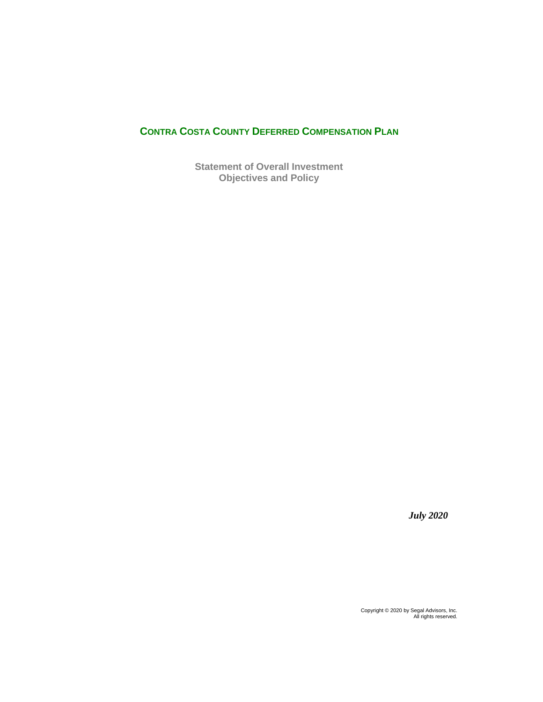# **CONTRA COSTA COUNTY DEFERRED COMPENSATION PLAN**

**Statement of Overall Investment Objectives and Policy**

*July 2020*

Copyright © 2020 by Segal Advisors, Inc. All rights reserved.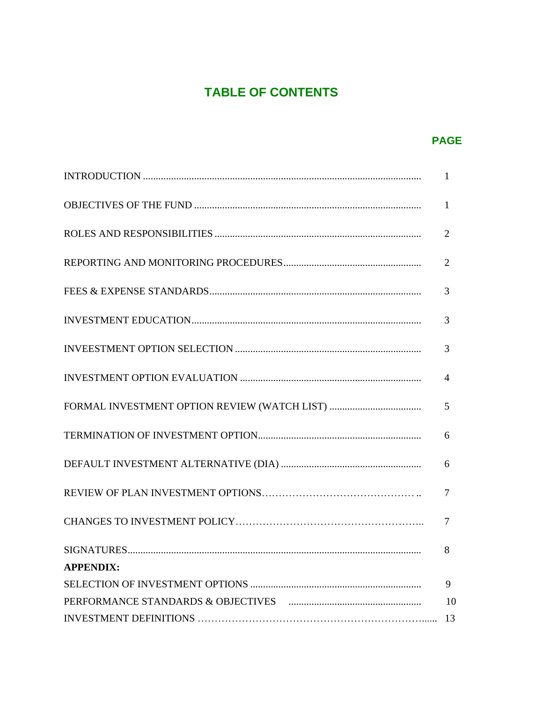# **TABLE OF CONTENTS**

# **PAGE**

|                  | 1              |
|------------------|----------------|
|                  | $\overline{2}$ |
|                  | $\overline{2}$ |
|                  | 3              |
|                  | 3              |
|                  | 3              |
|                  | $\overline{4}$ |
|                  | 5              |
|                  | 6              |
|                  | 6              |
|                  | $\overline{7}$ |
|                  | $\overline{7}$ |
|                  | 8              |
| <b>APPENDIX:</b> |                |
|                  | 9              |
|                  |                |
|                  |                |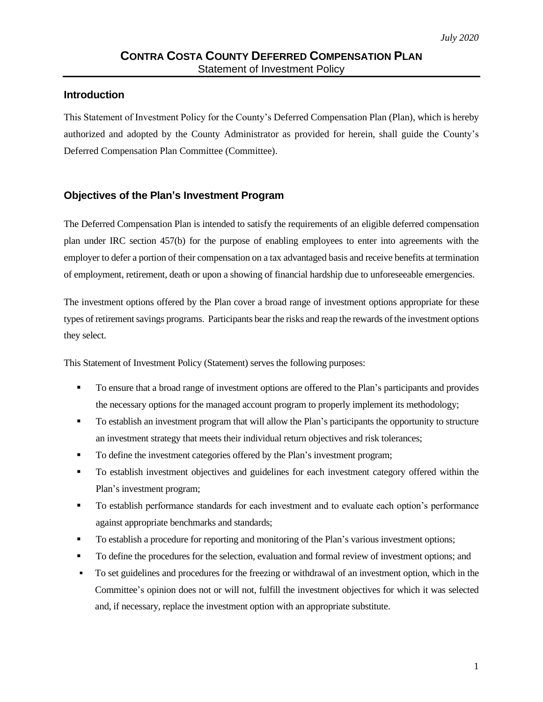#### **Introduction**

This Statement of Investment Policy for the County's Deferred Compensation Plan (Plan), which is hereby authorized and adopted by the County Administrator as provided for herein, shall guide the County's Deferred Compensation Plan Committee (Committee).

#### **Objectives of the Plan's Investment Program**

The Deferred Compensation Plan is intended to satisfy the requirements of an eligible deferred compensation plan under IRC section 457(b) for the purpose of enabling employees to enter into agreements with the employer to defer a portion of their compensation on a tax advantaged basis and receive benefits at termination of employment, retirement, death or upon a showing of financial hardship due to unforeseeable emergencies.

The investment options offered by the Plan cover a broad range of investment options appropriate for these types of retirement savings programs. Participants bear the risks and reap the rewards of the investment options they select.

This Statement of Investment Policy (Statement) serves the following purposes:

- To ensure that a broad range of investment options are offered to the Plan's participants and provides the necessary options for the managed account program to properly implement its methodology;
- To establish an investment program that will allow the Plan's participants the opportunity to structure an investment strategy that meets their individual return objectives and risk tolerances;
- To define the investment categories offered by the Plan's investment program;
- To establish investment objectives and guidelines for each investment category offered within the Plan's investment program;
- To establish performance standards for each investment and to evaluate each option's performance against appropriate benchmarks and standards;
- To establish a procedure for reporting and monitoring of the Plan's various investment options;
- To define the procedures for the selection, evaluation and formal review of investment options; and
- To set guidelines and procedures for the freezing or withdrawal of an investment option, which in the Committee's opinion does not or will not, fulfill the investment objectives for which it was selected and, if necessary, replace the investment option with an appropriate substitute.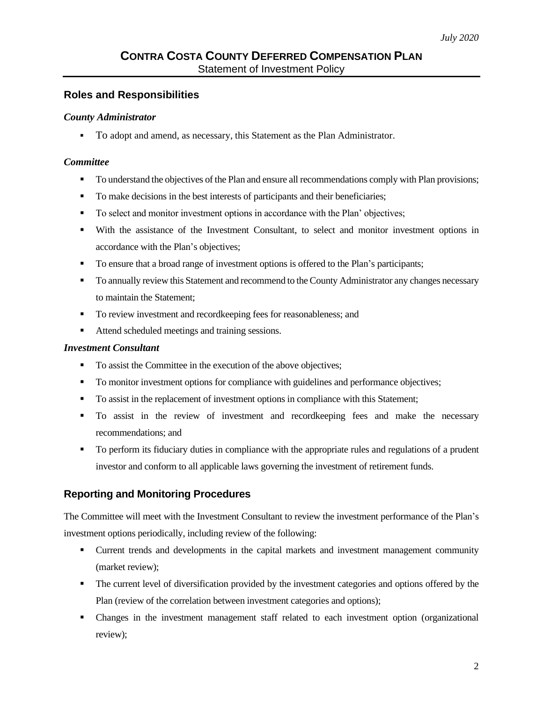# **Roles and Responsibilities**

#### *County Administrator*

▪ To adopt and amend, as necessary, this Statement as the Plan Administrator.

#### *Committee*

- To understand the objectives of the Plan and ensure all recommendations comply with Plan provisions;
- To make decisions in the best interests of participants and their beneficiaries;
- To select and monitor investment options in accordance with the Plan' objectives;
- With the assistance of the Investment Consultant, to select and monitor investment options in accordance with the Plan's objectives;
- To ensure that a broad range of investment options is offered to the Plan's participants;
- **To annually review this Statement and recommend to the County Administrator any changes necessary** to maintain the Statement;
- To review investment and recordkeeping fees for reasonableness; and
- Attend scheduled meetings and training sessions.

#### *Investment Consultant*

- To assist the Committee in the execution of the above objectives;
- To monitor investment options for compliance with guidelines and performance objectives;
- To assist in the replacement of investment options in compliance with this Statement;
- To assist in the review of investment and recordkeeping fees and make the necessary recommendations; and
- To perform its fiduciary duties in compliance with the appropriate rules and regulations of a prudent investor and conform to all applicable laws governing the investment of retirement funds.

# **Reporting and Monitoring Procedures**

The Committee will meet with the Investment Consultant to review the investment performance of the Plan's investment options periodically, including review of the following:

- Current trends and developments in the capital markets and investment management community (market review);
- **•** The current level of diversification provided by the investment categories and options offered by the Plan (review of the correlation between investment categories and options);
- Changes in the investment management staff related to each investment option (organizational review);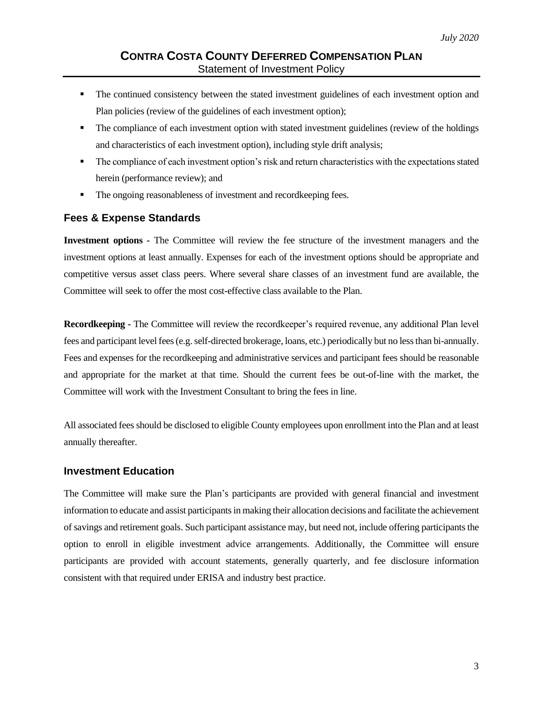- **•** The continued consistency between the stated investment guidelines of each investment option and Plan policies (review of the guidelines of each investment option);
- **•** The compliance of each investment option with stated investment guidelines (review of the holdings and characteristics of each investment option), including style drift analysis;
- The compliance of each investment option's risk and return characteristics with the expectations stated herein (performance review); and
- The ongoing reasonableness of investment and recordkeeping fees.

# **Fees & Expense Standards**

**Investment options -** The Committee will review the fee structure of the investment managers and the investment options at least annually. Expenses for each of the investment options should be appropriate and competitive versus asset class peers. Where several share classes of an investment fund are available, the Committee will seek to offer the most cost-effective class available to the Plan.

**Recordkeeping -** The Committee will review the recordkeeper's required revenue, any additional Plan level fees and participant level fees (e.g. self-directed brokerage, loans, etc.) periodically but no less than bi-annually. Fees and expenses for the recordkeeping and administrative services and participant fees should be reasonable and appropriate for the market at that time. Should the current fees be out-of-line with the market, the Committee will work with the Investment Consultant to bring the fees in line.

All associated fees should be disclosed to eligible County employees upon enrollment into the Plan and at least annually thereafter.

# **Investment Education**

The Committee will make sure the Plan's participants are provided with general financial and investment information to educate and assist participants in making their allocation decisions and facilitate the achievement of savings and retirement goals. Such participant assistance may, but need not, include offering participants the option to enroll in eligible investment advice arrangements. Additionally, the Committee will ensure participants are provided with account statements, generally quarterly, and fee disclosure information consistent with that required under ERISA and industry best practice.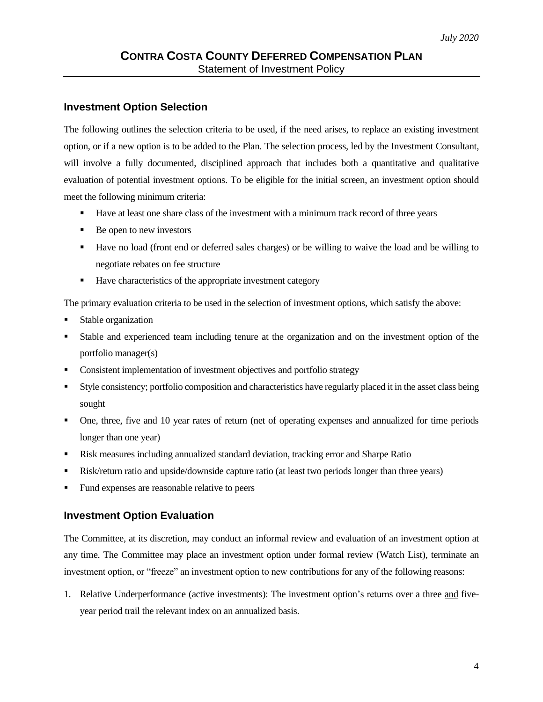#### **Investment Option Selection**

The following outlines the selection criteria to be used, if the need arises, to replace an existing investment option, or if a new option is to be added to the Plan. The selection process, led by the Investment Consultant, will involve a fully documented, disciplined approach that includes both a quantitative and qualitative evaluation of potential investment options. To be eligible for the initial screen, an investment option should meet the following minimum criteria:

- Have at least one share class of the investment with a minimum track record of three years
- Be open to new investors
- Have no load (front end or deferred sales charges) or be willing to waive the load and be willing to negotiate rebates on fee structure
- Have characteristics of the appropriate investment category

The primary evaluation criteria to be used in the selection of investment options, which satisfy the above:

- Stable organization
- Stable and experienced team including tenure at the organization and on the investment option of the portfolio manager(s)
- Consistent implementation of investment objectives and portfolio strategy
- Style consistency; portfolio composition and characteristics have regularly placed it in the asset class being sought
- One, three, five and 10 year rates of return (net of operating expenses and annualized for time periods longer than one year)
- Risk measures including annualized standard deviation, tracking error and Sharpe Ratio
- Risk/return ratio and upside/downside capture ratio (at least two periods longer than three years)
- Fund expenses are reasonable relative to peers

# **Investment Option Evaluation**

The Committee, at its discretion, may conduct an informal review and evaluation of an investment option at any time. The Committee may place an investment option under formal review (Watch List), terminate an investment option, or "freeze" an investment option to new contributions for any of the following reasons:

1. Relative Underperformance (active investments): The investment option's returns over a three and fiveyear period trail the relevant index on an annualized basis.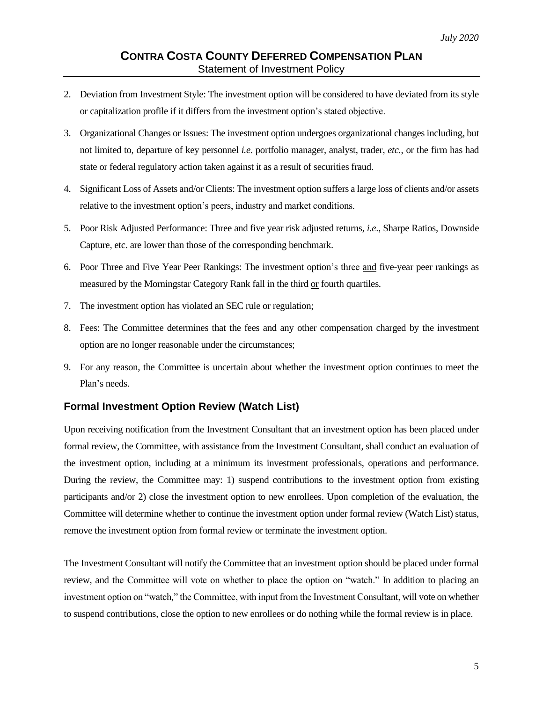- 2. Deviation from Investment Style: The investment option will be considered to have deviated from its style or capitalization profile if it differs from the investment option's stated objective.
- 3. Organizational Changes or Issues: The investment option undergoes organizational changes including, but not limited to, departure of key personnel *i.e*. portfolio manager, analyst, trader, *etc.*, or the firm has had state or federal regulatory action taken against it as a result of securities fraud.
- 4. Significant Loss of Assets and/or Clients: The investment option suffers a large loss of clients and/or assets relative to the investment option's peers, industry and market conditions.
- 5. Poor Risk Adjusted Performance: Three and five year risk adjusted returns, *i.e*., Sharpe Ratios, Downside Capture, etc. are lower than those of the corresponding benchmark.
- 6. Poor Three and Five Year Peer Rankings: The investment option's three and five-year peer rankings as measured by the Morningstar Category Rank fall in the third or fourth quartiles.
- 7. The investment option has violated an SEC rule or regulation;
- 8. Fees: The Committee determines that the fees and any other compensation charged by the investment option are no longer reasonable under the circumstances;
- 9. For any reason, the Committee is uncertain about whether the investment option continues to meet the Plan's needs.

# **Formal Investment Option Review (Watch List)**

Upon receiving notification from the Investment Consultant that an investment option has been placed under formal review, the Committee, with assistance from the Investment Consultant, shall conduct an evaluation of the investment option, including at a minimum its investment professionals, operations and performance. During the review, the Committee may: 1) suspend contributions to the investment option from existing participants and/or 2) close the investment option to new enrollees. Upon completion of the evaluation, the Committee will determine whether to continue the investment option under formal review (Watch List) status, remove the investment option from formal review or terminate the investment option.

The Investment Consultant will notify the Committee that an investment option should be placed under formal review, and the Committee will vote on whether to place the option on "watch." In addition to placing an investment option on "watch," the Committee, with input from the Investment Consultant, will vote on whether to suspend contributions, close the option to new enrollees or do nothing while the formal review is in place.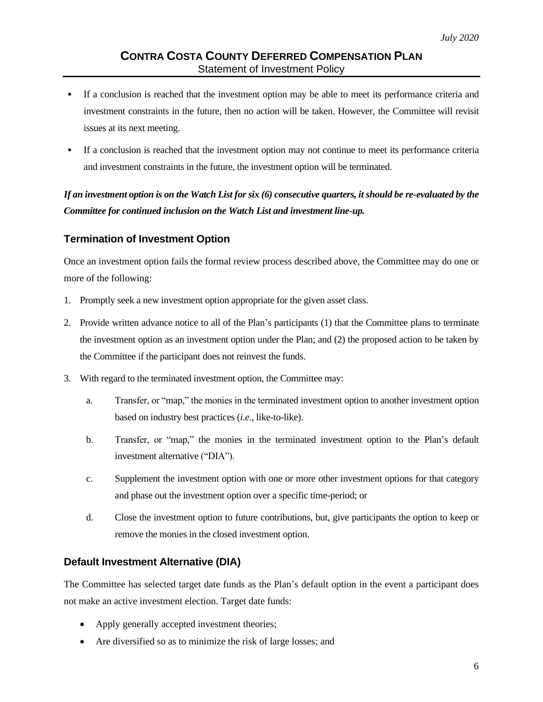- If a conclusion is reached that the investment option may be able to meet its performance criteria and investment constraints in the future, then no action will be taken. However, the Committee will revisit issues at its next meeting.
- If a conclusion is reached that the investment option may not continue to meet its performance criteria and investment constraints in the future, the investment option will be terminated.

*If an investment option is on the Watch List for six (6) consecutive quarters, it should be re-evaluated by the Committee for continued inclusion on the Watch List and investment line-up.*

# **Termination of Investment Option**

Once an investment option fails the formal review process described above, the Committee may do one or more of the following:

- 1. Promptly seek a new investment option appropriate for the given asset class.
- 2. Provide written advance notice to all of the Plan's participants (1) that the Committee plans to terminate the investment option as an investment option under the Plan; and (2) the proposed action to be taken by the Committee if the participant does not reinvest the funds.
- 3. With regard to the terminated investment option, the Committee may:
	- a. Transfer, or "map," the monies in the terminated investment option to another investment option based on industry best practices (*i.e.*, like-to-like).
	- b. Transfer, or "map," the monies in the terminated investment option to the Plan's default investment alternative ("DIA").
	- c. Supplement the investment option with one or more other investment options for that category and phase out the investment option over a specific time-period; or
	- d. Close the investment option to future contributions, but, give participants the option to keep or remove the monies in the closed investment option.

# **Default Investment Alternative (DIA)**

The Committee has selected target date funds as the Plan's default option in the event a participant does not make an active investment election. Target date funds:

- Apply generally accepted investment theories;
- Are diversified so as to minimize the risk of large losses; and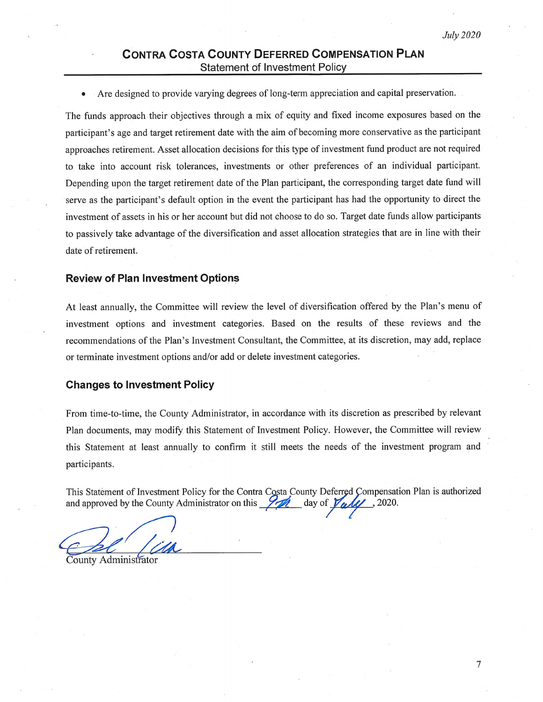# **CONTRA COSTA COUNTY DEFERRED COMPENSATION PLAN Statement of Investment Policy**

Are designed to provide varying degrees of long-term appreciation and capital preservation.

The funds approach their objectives through a mix of equity and fixed income exposures based on the participant's age and target retirement date with the aim of becoming more conservative as the participant approaches retirement. Asset allocation decisions for this type of investment fund product are not required to take into account risk tolerances, investments or other preferences of an individual participant. Depending upon the target retirement date of the Plan participant, the corresponding target date fund will serve as the participant's default option in the event the participant has had the opportunity to direct the investment of assets in his or her account but did not choose to do so. Target date funds allow participants to passively take advantage of the diversification and asset allocation strategies that are in line with their date of retirement.

#### **Review of Plan Investment Options**

At least annually, the Committee will review the level of diversification offered by the Plan's menu of investment options and investment categories. Based on the results of these reviews and the recommendations of the Plan's Investment Consultant, the Committee, at its discretion, may add, replace or terminate investment options and/or add or delete investment categories.

#### **Changes to Investment Policy**

From time-to-time, the County Administrator, in accordance with its discretion as prescribed by relevant Plan documents, may modify this Statement of Investment Policy. However, the Committee will review this Statement at least annually to confirm it still meets the needs of the investment program and participants.

This Statement of Investment Policy for the Contra Costa County Deferred Compensation Plan is authorized and approved by the County Administrator on this  $\frac{9\pi}{4}$  day of  $\frac{1}{100}$ , 2020.

County Administrator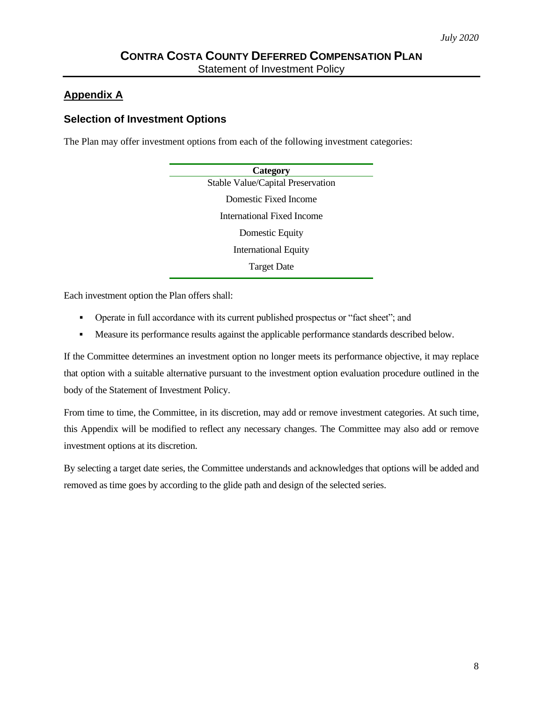# **Appendix A**

# **Selection of Investment Options**

The Plan may offer investment options from each of the following investment categories:

| Category                          |  |
|-----------------------------------|--|
| Stable Value/Capital Preservation |  |
| Domestic Fixed Income             |  |
| <b>International Fixed Income</b> |  |
| Domestic Equity                   |  |
| <b>International Equity</b>       |  |
| <b>Target Date</b>                |  |

Each investment option the Plan offers shall:

- Operate in full accordance with its current published prospectus or "fact sheet"; and
- Measure its performance results against the applicable performance standards described below.

If the Committee determines an investment option no longer meets its performance objective, it may replace that option with a suitable alternative pursuant to the investment option evaluation procedure outlined in the body of the Statement of Investment Policy.

From time to time, the Committee, in its discretion, may add or remove investment categories. At such time, this Appendix will be modified to reflect any necessary changes. The Committee may also add or remove investment options at its discretion.

By selecting a target date series, the Committee understands and acknowledges that options will be added and removed as time goes by according to the glide path and design of the selected series.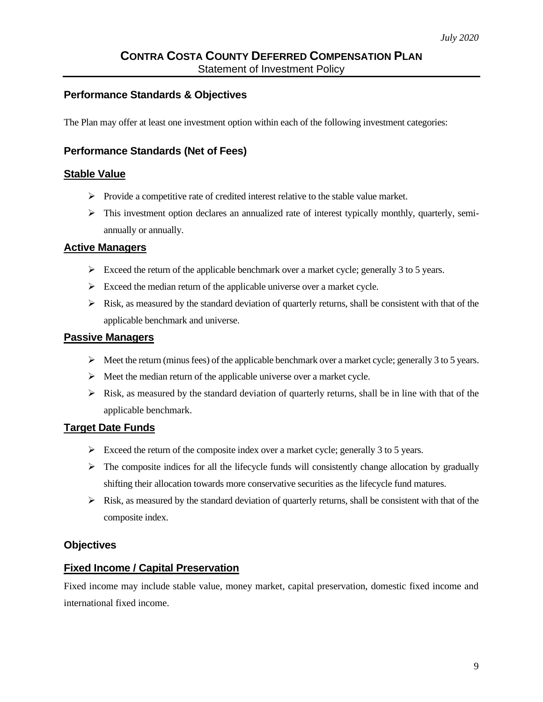# **Performance Standards & Objectives**

The Plan may offer at least one investment option within each of the following investment categories:

# **Performance Standards (Net of Fees)**

#### **Stable Value**

- $\triangleright$  Provide a competitive rate of credited interest relative to the stable value market.
- ➢ This investment option declares an annualized rate of interest typically monthly, quarterly, semiannually or annually.

# **Active Managers**

- $\triangleright$  Exceed the return of the applicable benchmark over a market cycle; generally 3 to 5 years.
- $\triangleright$  Exceed the median return of the applicable universe over a market cycle.
- $\triangleright$  Risk, as measured by the standard deviation of quarterly returns, shall be consistent with that of the applicable benchmark and universe.

#### **Passive Managers**

- $\triangleright$  Meet the return (minus fees) of the applicable benchmark over a market cycle; generally 3 to 5 years.
- ➢ Meet the median return of the applicable universe over a market cycle.
- $\triangleright$  Risk, as measured by the standard deviation of quarterly returns, shall be in line with that of the applicable benchmark.

# **Target Date Funds**

- $\triangleright$  Exceed the return of the composite index over a market cycle; generally 3 to 5 years.
- $\triangleright$  The composite indices for all the lifecycle funds will consistently change allocation by gradually shifting their allocation towards more conservative securities as the lifecycle fund matures.
- $\triangleright$  Risk, as measured by the standard deviation of quarterly returns, shall be consistent with that of the composite index.

# **Objectives**

# **Fixed Income / Capital Preservation**

Fixed income may include stable value, money market, capital preservation, domestic fixed income and international fixed income.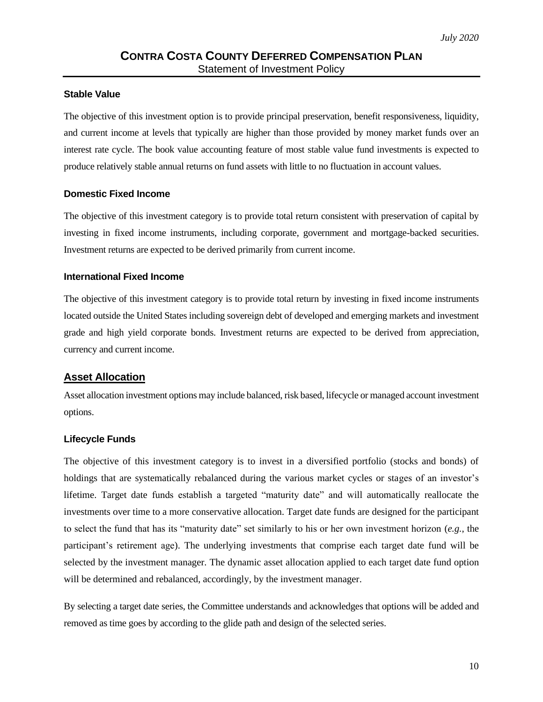# **Stable Value**

The objective of this investment option is to provide principal preservation, benefit responsiveness, liquidity, and current income at levels that typically are higher than those provided by money market funds over an interest rate cycle. The book value accounting feature of most stable value fund investments is expected to produce relatively stable annual returns on fund assets with little to no fluctuation in account values.

#### **Domestic Fixed Income**

The objective of this investment category is to provide total return consistent with preservation of capital by investing in fixed income instruments, including corporate, government and mortgage-backed securities. Investment returns are expected to be derived primarily from current income.

#### **International Fixed Income**

The objective of this investment category is to provide total return by investing in fixed income instruments located outside the United States including sovereign debt of developed and emerging markets and investment grade and high yield corporate bonds. Investment returns are expected to be derived from appreciation, currency and current income.

#### **Asset Allocation**

Asset allocation investment options may include balanced, risk based, lifecycle or managed account investment options.

#### **Lifecycle Funds**

The objective of this investment category is to invest in a diversified portfolio (stocks and bonds) of holdings that are systematically rebalanced during the various market cycles or stages of an investor's lifetime. Target date funds establish a targeted "maturity date" and will automatically reallocate the investments over time to a more conservative allocation. Target date funds are designed for the participant to select the fund that has its "maturity date" set similarly to his or her own investment horizon (*e.g.*, the participant's retirement age). The underlying investments that comprise each target date fund will be selected by the investment manager. The dynamic asset allocation applied to each target date fund option will be determined and rebalanced, accordingly, by the investment manager.

By selecting a target date series, the Committee understands and acknowledges that options will be added and removed as time goes by according to the glide path and design of the selected series.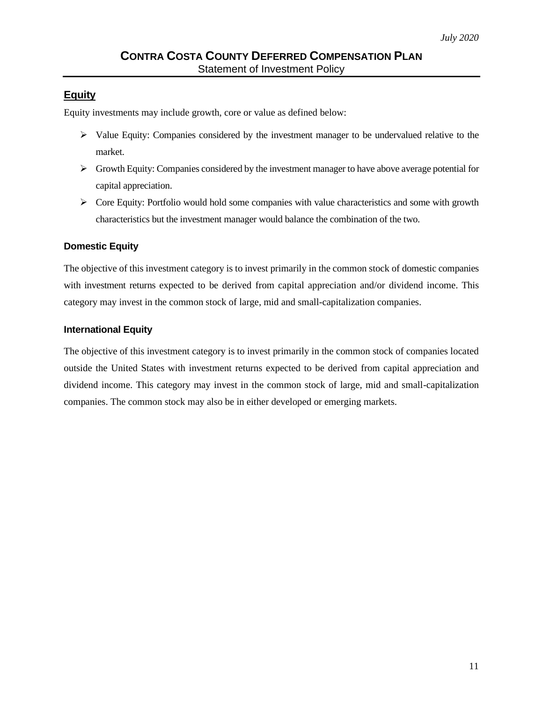# **Equity**

Equity investments may include growth, core or value as defined below:

- $\triangleright$  Value Equity: Companies considered by the investment manager to be undervalued relative to the market.
- $\triangleright$  Growth Equity: Companies considered by the investment manager to have above average potential for capital appreciation.
- ➢ Core Equity: Portfolio would hold some companies with value characteristics and some with growth characteristics but the investment manager would balance the combination of the two.

# **Domestic Equity**

The objective of this investment category is to invest primarily in the common stock of domestic companies with investment returns expected to be derived from capital appreciation and/or dividend income. This category may invest in the common stock of large, mid and small-capitalization companies.

# **International Equity**

The objective of this investment category is to invest primarily in the common stock of companies located outside the United States with investment returns expected to be derived from capital appreciation and dividend income. This category may invest in the common stock of large, mid and small-capitalization companies. The common stock may also be in either developed or emerging markets.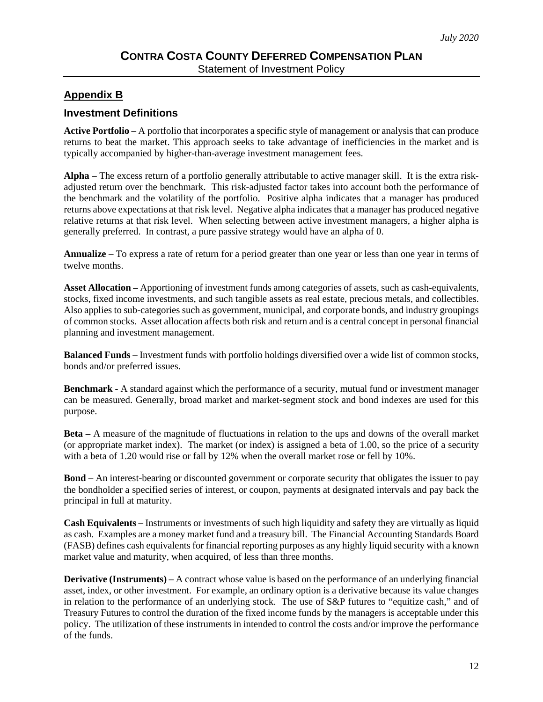# **Appendix B**

# **Investment Definitions**

**Active Portfolio –** A portfolio that incorporates a specific style of management or analysis that can produce returns to beat the market. This approach seeks to take advantage of inefficiencies in the market and is typically accompanied by higher-than-average investment management fees.

**Alpha –** The excess return of a portfolio generally attributable to active manager skill. It is the extra riskadjusted return over the benchmark. This risk-adjusted factor takes into account both the performance of the benchmark and the volatility of the portfolio. Positive alpha indicates that a manager has produced returns above expectations at that risk level. Negative alpha indicates that a manager has produced negative relative returns at that risk level. When selecting between active investment managers, a higher alpha is generally preferred. In contrast, a pure passive strategy would have an alpha of 0.

**Annualize –** To express a rate of return for a period greater than one year or less than one year in terms of twelve months.

**Asset Allocation –** Apportioning of investment funds among categories of assets, such as cash-equivalents, stocks, fixed income investments, and such tangible assets as real estate, precious metals, and collectibles. Also applies to sub-categories such as government, municipal, and corporate bonds, and industry groupings of common stocks. Asset allocation affects both risk and return and is a central concept in personal financial planning and investment management.

**Balanced Funds –** Investment funds with portfolio holdings diversified over a wide list of common stocks, bonds and/or preferred issues.

**Benchmark -** A standard against which the performance of a security, mutual fund or investment manager can be measured. Generally, broad market and market-segment stock and bond indexes are used for this purpose.

**Beta –** A measure of the magnitude of fluctuations in relation to the ups and downs of the overall market (or appropriate market index). The market (or index) is assigned a beta of 1.00, so the price of a security with a beta of 1.20 would rise or fall by 12% when the overall market rose or fell by 10%.

**Bond –** An interest-bearing or discounted government or corporate security that obligates the issuer to pay the bondholder a specified series of interest, or coupon, payments at designated intervals and pay back the principal in full at maturity.

**Cash Equivalents –** Instruments or investments of such high liquidity and safety they are virtually as liquid as cash. Examples are a money market fund and a treasury bill. The Financial Accounting Standards Board (FASB) defines cash equivalents for financial reporting purposes as any highly liquid security with a known market value and maturity, when acquired, of less than three months.

**Derivative (Instruments)** – A contract whose value is based on the performance of an underlying financial asset, index, or other investment. For example, an ordinary option is a derivative because its value changes in relation to the performance of an underlying stock. The use of S&P futures to "equitize cash," and of Treasury Futures to control the duration of the fixed income funds by the managers is acceptable under this policy. The utilization of these instruments in intended to control the costs and/or improve the performance of the funds.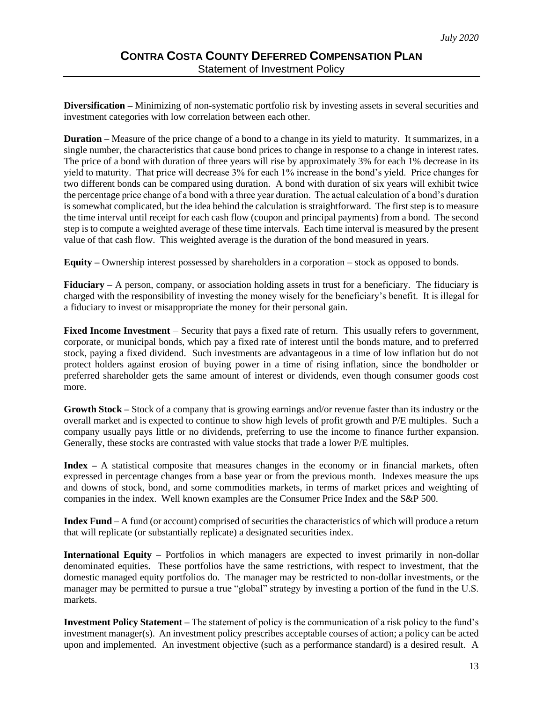**Diversification –** Minimizing of non-systematic portfolio risk by investing assets in several securities and investment categories with low correlation between each other.

**Duration –** Measure of the price change of a bond to a change in its yield to maturity. It summarizes, in a single number, the characteristics that cause bond prices to change in response to a change in interest rates. The price of a bond with duration of three years will rise by approximately 3% for each 1% decrease in its yield to maturity. That price will decrease 3% for each 1% increase in the bond's yield. Price changes for two different bonds can be compared using duration. A bond with duration of six years will exhibit twice the percentage price change of a bond with a three year duration. The actual calculation of a bond's duration is somewhat complicated, but the idea behind the calculation is straightforward. The first step is to measure the time interval until receipt for each cash flow (coupon and principal payments) from a bond. The second step is to compute a weighted average of these time intervals. Each time interval is measured by the present value of that cash flow. This weighted average is the duration of the bond measured in years.

**Equity –** Ownership interest possessed by shareholders in a corporation – stock as opposed to bonds.

**Fiduciary –** A person, company, or association holding assets in trust for a beneficiary. The fiduciary is charged with the responsibility of investing the money wisely for the beneficiary's benefit. It is illegal for a fiduciary to invest or misappropriate the money for their personal gain.

**Fixed Income Investment** – Security that pays a fixed rate of return. This usually refers to government, corporate, or municipal bonds, which pay a fixed rate of interest until the bonds mature, and to preferred stock, paying a fixed dividend. Such investments are advantageous in a time of low inflation but do not protect holders against erosion of buying power in a time of rising inflation, since the bondholder or preferred shareholder gets the same amount of interest or dividends, even though consumer goods cost more.

**Growth Stock –** Stock of a company that is growing earnings and/or revenue faster than its industry or the overall market and is expected to continue to show high levels of profit growth and P/E multiples. Such a company usually pays little or no dividends, preferring to use the income to finance further expansion. Generally, these stocks are contrasted with value stocks that trade a lower P/E multiples.

**Index –** A statistical composite that measures changes in the economy or in financial markets, often expressed in percentage changes from a base year or from the previous month. Indexes measure the ups and downs of stock, bond, and some commodities markets, in terms of market prices and weighting of companies in the index. Well known examples are the Consumer Price Index and the S&P 500.

**Index Fund –** A fund (or account) comprised of securities the characteristics of which will produce a return that will replicate (or substantially replicate) a designated securities index.

**International Equity –** Portfolios in which managers are expected to invest primarily in non-dollar denominated equities. These portfolios have the same restrictions, with respect to investment, that the domestic managed equity portfolios do. The manager may be restricted to non-dollar investments, or the manager may be permitted to pursue a true "global" strategy by investing a portion of the fund in the U.S. markets.

**Investment Policy Statement –** The statement of policy is the communication of a risk policy to the fund's investment manager(s). An investment policy prescribes acceptable courses of action; a policy can be acted upon and implemented. An investment objective (such as a performance standard) is a desired result. A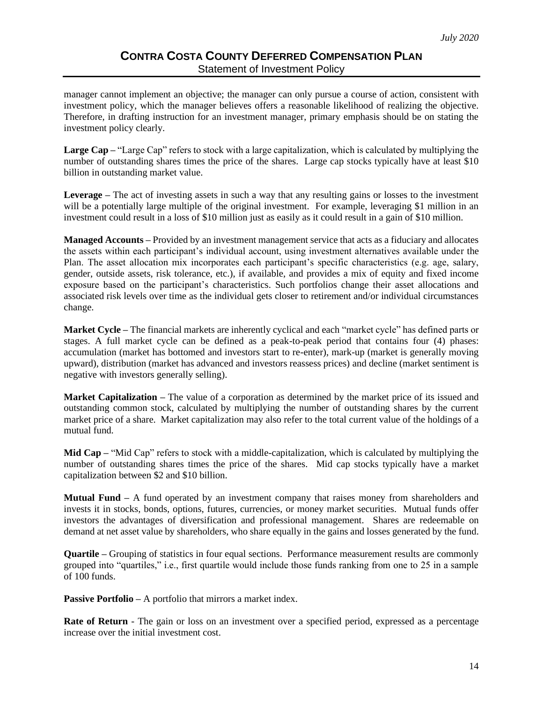manager cannot implement an objective; the manager can only pursue a course of action, consistent with investment policy, which the manager believes offers a reasonable likelihood of realizing the objective. Therefore, in drafting instruction for an investment manager, primary emphasis should be on stating the investment policy clearly.

**Large Cap –** "Large Cap" refers to stock with a large capitalization, which is calculated by multiplying the number of outstanding shares times the price of the shares. Large cap stocks typically have at least \$10 billion in outstanding market value.

**Leverage –** The act of investing assets in such a way that any resulting gains or losses to the investment will be a potentially large multiple of the original investment. For example, leveraging \$1 million in an investment could result in a loss of \$10 million just as easily as it could result in a gain of \$10 million.

**Managed Accounts –** Provided by an investment management service that acts as a fiduciary and allocates the assets within each participant's individual account, using investment alternatives available under the Plan. The asset allocation mix incorporates each participant's specific characteristics (e.g. age, salary, gender, outside assets, risk tolerance, etc.), if available, and provides a mix of equity and fixed income exposure based on the participant's characteristics. Such portfolios change their asset allocations and associated risk levels over time as the individual gets closer to retirement and/or individual circumstances change.

**Market Cycle –** The financial markets are inherently cyclical and each "market cycle" has defined parts or stages. A full market cycle can be defined as a peak-to-peak period that contains four (4) phases: accumulation (market has bottomed and investors start to re-enter), mark-up (market is generally moving upward), distribution (market has advanced and investors reassess prices) and decline (market sentiment is negative with investors generally selling).

**Market Capitalization –** The value of a corporation as determined by the market price of its issued and outstanding common stock, calculated by multiplying the number of outstanding shares by the current market price of a share. Market capitalization may also refer to the total current value of the holdings of a mutual fund.

**Mid Cap –** "Mid Cap" refers to stock with a middle-capitalization, which is calculated by multiplying the number of outstanding shares times the price of the shares. Mid cap stocks typically have a market capitalization between \$2 and \$10 billion.

**Mutual Fund –** A fund operated by an investment company that raises money from shareholders and invests it in stocks, bonds, options, futures, currencies, or money market securities. Mutual funds offer investors the advantages of diversification and professional management. Shares are redeemable on demand at net asset value by shareholders, who share equally in the gains and losses generated by the fund.

**Quartile –** Grouping of statistics in four equal sections. Performance measurement results are commonly grouped into "quartiles," i.e., first quartile would include those funds ranking from one to 25 in a sample of 100 funds.

**Passive Portfolio –** A portfolio that mirrors a market index.

**Rate of Return** - The gain or loss on an investment over a specified period, expressed as a percentage increase over the initial investment cost.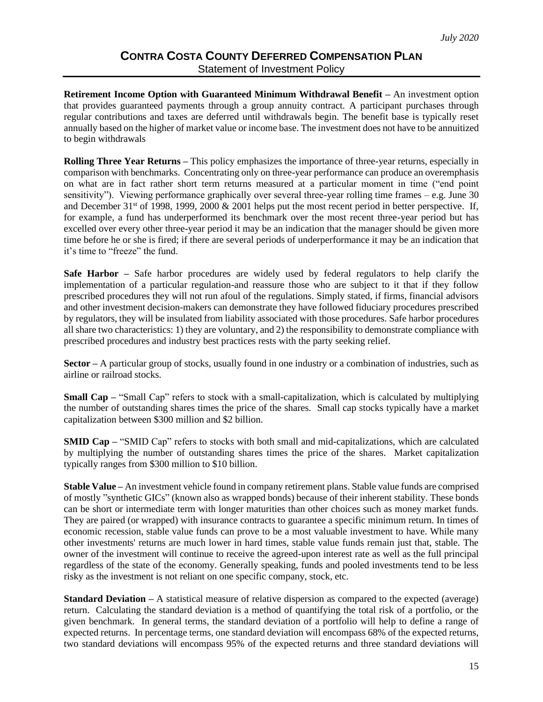**Retirement Income Option with Guaranteed Minimum Withdrawal Benefit –** An investment option that provides guaranteed payments through a group annuity contract. A participant purchases through regular contributions and taxes are deferred until withdrawals begin. The benefit base is typically reset annually based on the higher of market value or income base. The investment does not have to be annuitized to begin withdrawals

**Rolling Three Year Returns –** This policy emphasizes the importance of three-year returns, especially in comparison with benchmarks. Concentrating only on three-year performance can produce an overemphasis on what are in fact rather short term returns measured at a particular moment in time ("end point sensitivity"). Viewing performance graphically over several three-year rolling time frames – e.g. June 30 and December 31<sup>st</sup> of 1998, 1999, 2000 & 2001 helps put the most recent period in better perspective. If, for example, a fund has underperformed its benchmark over the most recent three-year period but has excelled over every other three-year period it may be an indication that the manager should be given more time before he or she is fired; if there are several periods of underperformance it may be an indication that it's time to "freeze" the fund.

**Safe Harbor –** Safe harbor procedures are widely used by federal regulators to help clarify the implementation of a particular regulation-and reassure those who are subject to it that if they follow prescribed procedures they will not run afoul of the regulations. Simply stated, if firms, financial advisors and other investment decision-makers can demonstrate they have followed fiduciary procedures prescribed by regulators, they will be insulated from liability associated with those procedures. Safe harbor procedures all share two characteristics: 1) they are voluntary, and 2) the responsibility to demonstrate compliance with prescribed procedures and industry best practices rests with the party seeking relief.

**Sector –** A particular group of stocks, usually found in one industry or a combination of industries, such as airline or railroad stocks.

**Small Cap** – "Small Cap" refers to stock with a small-capitalization, which is calculated by multiplying the number of outstanding shares times the price of the shares. Small cap stocks typically have a market capitalization between \$300 million and \$2 billion.

**SMID Cap –** "SMID Cap" refers to stocks with both small and mid-capitalizations, which are calculated by multiplying the number of outstanding shares times the price of the shares. Market capitalization typically ranges from \$300 million to \$10 billion.

**Stable Value –** An investment vehicle found in company retirement plans. Stable value funds are comprised of mostly "synthetic GICs" (known also as wrapped bonds) because of their inherent stability. These bonds can be short or intermediate term with longer maturities than other choices such as money market funds. They are paired (or wrapped) with insurance contracts to guarantee a specific minimum return. In times of economic recession, stable value funds can prove to be a most valuable investment to have. While many other investments' returns are much lower in hard times, stable value funds remain just that, stable. The owner of the investment will continue to receive the agreed-upon interest rate as well as the full principal regardless of the state of the economy. Generally speaking, funds and pooled investments tend to be less risky as the investment is not reliant on one specific company, stock, etc.

**Standard Deviation –** A statistical measure of relative dispersion as compared to the expected (average) return. Calculating the standard deviation is a method of quantifying the total risk of a portfolio, or the given benchmark. In general terms, the standard deviation of a portfolio will help to define a range of expected returns. In percentage terms, one standard deviation will encompass 68% of the expected returns, two standard deviations will encompass 95% of the expected returns and three standard deviations will